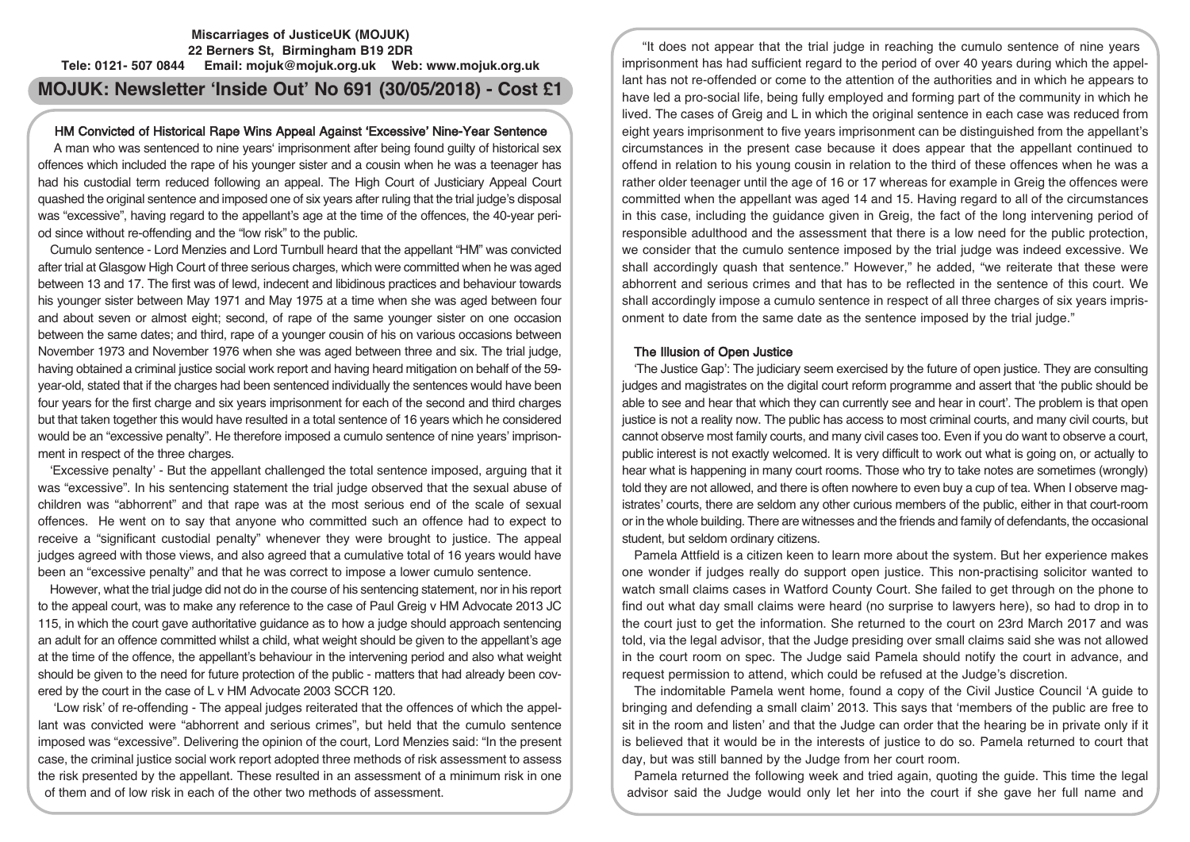# **Miscarriages of JusticeUK (MOJUK) 22 Berners St, Birmingham B19 2DR Tele: 0121- 507 0844 Email: mojuk@mojuk.org.uk Web: www.mojuk.org.uk**

# **MOJUK: Newsletter 'Inside Out' No 691 (30/05/2018) - Cost £1**

# HM Convicted of Historical Rape Wins Appeal Against 'Excessive' Nine-Year Sentence

A man who was sentenced to nine years' imprisonment after being found guilty of historical sex offences which included the rape of his younger sister and a cousin when he was a teenager has had his custodial term reduced following an appeal. The High Court of Justiciary Appeal Court quashed the original sentence and imposed one of six years after ruling that the trial judge's disposal was "excessive", having regard to the appellant's age at the time of the offences, the 40-year period since without re-offending and the "low risk" to the public.

Cumulo sentence - Lord Menzies and Lord Turnbull heard that the appellant "HM" was convicted after trial at Glasgow High Court of three serious charges, which were committed when he was aged between 13 and 17. The first was of lewd, indecent and libidinous practices and behaviour towards his younger sister between May 1971 and May 1975 at a time when she was aged between four and about seven or almost eight; second, of rape of the same younger sister on one occasion between the same dates; and third, rape of a younger cousin of his on various occasions between November 1973 and November 1976 when she was aged between three and six. The trial judge, having obtained a criminal justice social work report and having heard mitigation on behalf of the 59 year-old, stated that if the charges had been sentenced individually the sentences would have been four years for the first charge and six years imprisonment for each of the second and third charges but that taken together this would have resulted in a total sentence of 16 years which he considered would be an "excessive penalty". He therefore imposed a cumulo sentence of nine years' imprisonment in respect of the three charges.

'Excessive penalty' - But the appellant challenged the total sentence imposed, arguing that it was "excessive". In his sentencing statement the trial judge observed that the sexual abuse of children was "abhorrent" and that rape was at the most serious end of the scale of sexual offences. He went on to say that anyone who committed such an offence had to expect to receive a "significant custodial penalty" whenever they were brought to justice. The appeal judges agreed with those views, and also agreed that a cumulative total of 16 years would have been an "excessive penalty" and that he was correct to impose a lower cumulo sentence.

However, what the trial judge did not do in the course of his sentencing statement, nor in his report to the appeal court, was to make any reference to the case of Paul Greig v HM Advocate 2013 JC 115, in which the court gave authoritative guidance as to how a judge should approach sentencing an adult for an offence committed whilst a child, what weight should be given to the appellant's age at the time of the offence, the appellant's behaviour in the intervening period and also what weight should be given to the need for future protection of the public - matters that had already been covered by the court in the case of L v HM Advocate 2003 SCCR 120.

'Low risk' of re-offending - The appeal judges reiterated that the offences of which the appellant was convicted were "abhorrent and serious crimes", but held that the cumulo sentence imposed was "excessive". Delivering the opinion of the court, Lord Menzies said: "In the present case, the criminal justice social work report adopted three methods of risk assessment to assess the risk presented by the appellant. These resulted in an assessment of a minimum risk in one of them and of low risk in each of the other two methods of assessment.

"It does not appear that the trial judge in reaching the cumulo sentence of nine years imprisonment has had sufficient regard to the period of over 40 years during which the appellant has not re-offended or come to the attention of the authorities and in which he appears to have led a pro-social life, being fully employed and forming part of the community in which he lived. The cases of Greig and L in which the original sentence in each case was reduced from eight years imprisonment to five years imprisonment can be distinguished from the appellant's circumstances in the present case because it does appear that the appellant continued to offend in relation to his young cousin in relation to the third of these offences when he was a rather older teenager until the age of 16 or 17 whereas for example in Greig the offences were committed when the appellant was aged 14 and 15. Having regard to all of the circumstances in this case, including the guidance given in Greig, the fact of the long intervening period of responsible adulthood and the assessment that there is a low need for the public protection, we consider that the cumulo sentence imposed by the trial judge was indeed excessive. We shall accordingly quash that sentence." However," he added, "we reiterate that these were abhorrent and serious crimes and that has to be reflected in the sentence of this court. We shall accordingly impose a cumulo sentence in respect of all three charges of six years imprisonment to date from the same date as the sentence imposed by the trial judge."

## The Illusion of Open Justice

'The Justice Gap': The judiciary seem exercised by the future of open justice. They are consulting judges and magistrates on the digital court reform programme and assert that 'the public should be able to see and hear that which they can currently see and hear in court'. The problem is that open justice is not a reality now. The public has access to most criminal courts, and many civil courts, but cannot observe most family courts, and many civil cases too. Even if you do want to observe a court, public interest is not exactly welcomed. It is very difficult to work out what is going on, or actually to hear what is happening in many court rooms. Those who try to take notes are sometimes (wrongly) told they are not allowed, and there is often nowhere to even buy a cup of tea. When I observe magistrates' courts, there are seldom any other curious members of the public, either in that court-room or in the whole building. There are witnesses and the friends and family of defendants, the occasional student, but seldom ordinary citizens.

Pamela Attfield is a citizen keen to learn more about the system. But her experience makes one wonder if judges really do support open justice. This non-practising solicitor wanted to watch small claims cases in Watford County Court. She failed to get through on the phone to find out what day small claims were heard (no surprise to lawyers here), so had to drop in to the court just to get the information. She returned to the court on 23rd March 2017 and was told, via the legal advisor, that the Judge presiding over small claims said she was not allowed in the court room on spec. The Judge said Pamela should notify the court in advance, and request permission to attend, which could be refused at the Judge's discretion.

The indomitable Pamela went home, found a copy of the Civil Justice Council 'A guide to bringing and defending a small claim' 2013. This says that 'members of the public are free to sit in the room and listen' and that the Judge can order that the hearing be in private only if it is believed that it would be in the interests of justice to do so. Pamela returned to court that day, but was still banned by the Judge from her court room.

Pamela returned the following week and tried again, quoting the guide. This time the legal advisor said the Judge would only let her into the court if she gave her full name and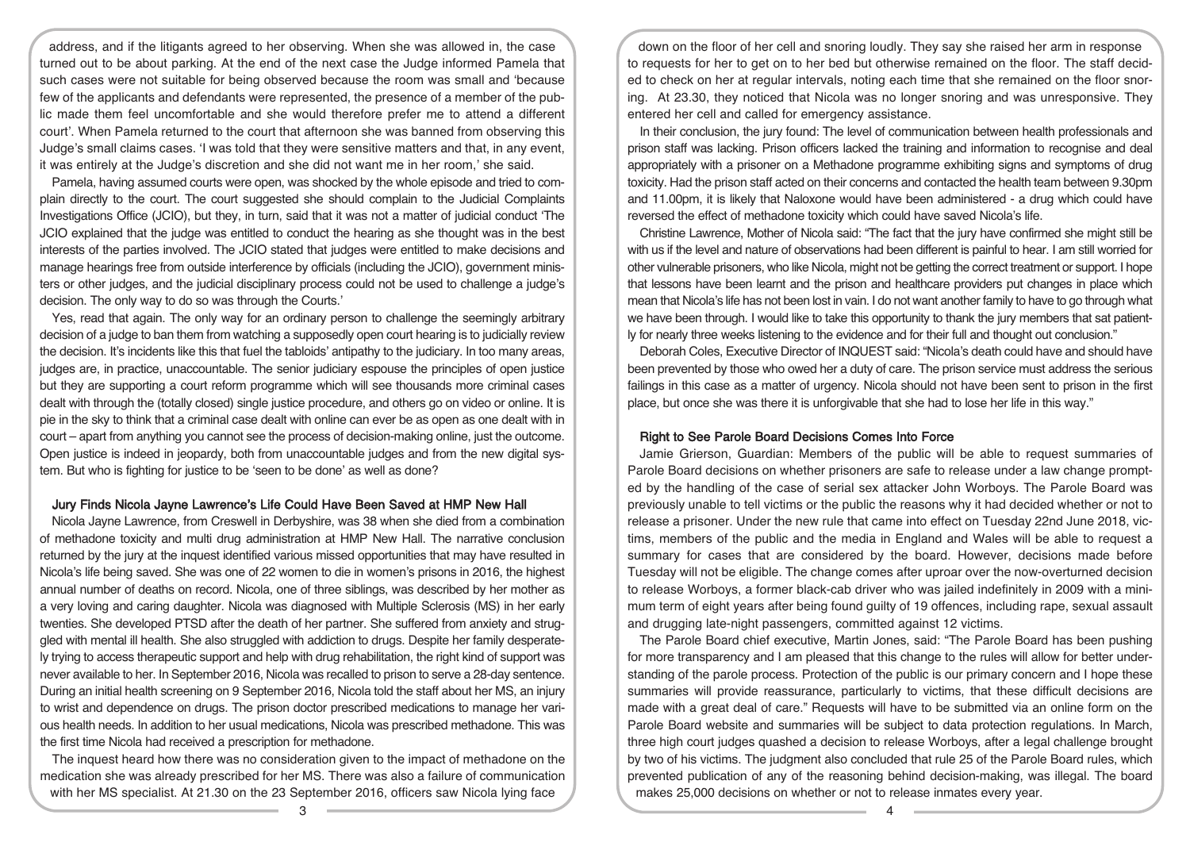address, and if the litigants agreed to her observing. When she was allowed in, the case turned out to be about parking. At the end of the next case the Judge informed Pamela that such cases were not suitable for being observed because the room was small and 'because few of the applicants and defendants were represented, the presence of a member of the public made them feel uncomfortable and she would therefore prefer me to attend a different court'. When Pamela returned to the court that afternoon she was banned from observing this Judge's small claims cases. 'I was told that they were sensitive matters and that, in any event, it was entirely at the Judge's discretion and she did not want me in her room,' she said.

Pamela, having assumed courts were open, was shocked by the whole episode and tried to complain directly to the court. The court suggested she should complain to the Judicial Complaints Investigations Office (JCIO), but they, in turn, said that it was not a matter of judicial conduct 'The JCIO explained that the judge was entitled to conduct the hearing as she thought was in the best interests of the parties involved. The JCIO stated that judges were entitled to make decisions and manage hearings free from outside interference by officials (including the JCIO), government ministers or other judges, and the judicial disciplinary process could not be used to challenge a judge's decision. The only way to do so was through the Courts.'

Yes, read that again. The only way for an ordinary person to challenge the seemingly arbitrary decision of a judge to ban them from watching a supposedly open court hearing is to judicially review the decision. It's incidents like this that fuel the tabloids' antipathy to the judiciary. In too many areas, judges are, in practice, unaccountable. The senior judiciary espouse the principles of open justice but they are supporting a court reform programme which will see thousands more criminal cases dealt with through the (totally closed) single justice procedure, and others go on video or online. It is pie in the sky to think that a criminal case dealt with online can ever be as open as one dealt with in court – apart from anything you cannot see the process of decision-making online, just the outcome. Open justice is indeed in jeopardy, both from unaccountable judges and from the new digital system. But who is fighting for justice to be 'seen to be done' as well as done?

#### Jury Finds Nicola Jayne Lawrence's Life Could Have Been Saved at HMP New Hall

Nicola Jayne Lawrence, from Creswell in Derbyshire, was 38 when she died from a combination of methadone toxicity and multi drug administration at HMP New Hall. The narrative conclusion returned by the jury at the inquest identified various missed opportunities that may have resulted in Nicola's life being saved. She was one of 22 women to die in women's prisons in 2016, the highest annual number of deaths on record. Nicola, one of three siblings, was described by her mother as a very loving and caring daughter. Nicola was diagnosed with Multiple Sclerosis (MS) in her early twenties. She developed PTSD after the death of her partner. She suffered from anxiety and struggled with mental ill health. She also struggled with addiction to drugs. Despite her family desperately trying to access therapeutic support and help with drug rehabilitation, the right kind of support was never available to her. In September 2016, Nicola was recalled to prison to serve a 28-day sentence. During an initial health screening on 9 September 2016, Nicola told the staff about her MS, an injury to wrist and dependence on drugs. The prison doctor prescribed medications to manage her various health needs. In addition to her usual medications, Nicola was prescribed methadone. This was the first time Nicola had received a prescription for methadone.

The inquest heard how there was no consideration given to the impact of methadone on the medication she was already prescribed for her MS. There was also a failure of communication with her MS specialist. At 21.30 on the 23 September 2016, officers saw Nicola lying face

down on the floor of her cell and snoring loudly. They say she raised her arm in response to requests for her to get on to her bed but otherwise remained on the floor. The staff decided to check on her at regular intervals, noting each time that she remained on the floor snoring. At 23.30, they noticed that Nicola was no longer snoring and was unresponsive. They entered her cell and called for emergency assistance.

In their conclusion, the jury found: The level of communication between health professionals and prison staff was lacking. Prison officers lacked the training and information to recognise and deal appropriately with a prisoner on a Methadone programme exhibiting signs and symptoms of drug toxicity. Had the prison staff acted on their concerns and contacted the health team between 9.30pm and 11.00pm, it is likely that Naloxone would have been administered - a drug which could have reversed the effect of methadone toxicity which could have saved Nicola's life.

Christine Lawrence, Mother of Nicola said: "The fact that the jury have confirmed she might still be with us if the level and nature of observations had been different is painful to hear. I am still worried for other vulnerable prisoners, who like Nicola, might not be getting the correct treatment or support. I hope that lessons have been learnt and the prison and healthcare providers put changes in place which mean that Nicola's life has not been lost in vain. I do not want another family to have to go through what we have been through. I would like to take this opportunity to thank the jury members that sat patiently for nearly three weeks listening to the evidence and for their full and thought out conclusion."

Deborah Coles, Executive Director of INQUEST said: "Nicola's death could have and should have been prevented by those who owed her a duty of care. The prison service must address the serious failings in this case as a matter of urgency. Nicola should not have been sent to prison in the first place, but once she was there it is unforgivable that she had to lose her life in this way."

### Right to See Parole Board Decisions Comes Into Force

Jamie Grierson, Guardian: Members of the public will be able to request summaries of Parole Board decisions on whether prisoners are safe to release under a law change prompted by the handling of the case of serial sex attacker John Worboys. The Parole Board was previously unable to tell victims or the public the reasons why it had decided whether or not to release a prisoner. Under the new rule that came into effect on Tuesday 22nd June 2018, victims, members of the public and the media in England and Wales will be able to request a summary for cases that are considered by the board. However, decisions made before Tuesday will not be eligible. The change comes after uproar over the now-overturned decision to release Worboys, a former black-cab driver who was jailed indefinitely in 2009 with a minimum term of eight years after being found guilty of 19 offences, including rape, sexual assault and drugging late-night passengers, committed against 12 victims.

The Parole Board chief executive, Martin Jones, said: "The Parole Board has been pushing for more transparency and I am pleased that this change to the rules will allow for better understanding of the parole process. Protection of the public is our primary concern and I hope these summaries will provide reassurance, particularly to victims, that these difficult decisions are made with a great deal of care." Requests will have to be submitted via an online form on the Parole Board website and summaries will be subject to data protection regulations. In March, three high court judges quashed a decision to release Worboys, after a legal challenge brought by two of his victims. The judgment also concluded that rule 25 of the Parole Board rules, which prevented publication of any of the reasoning behind decision-making, was illegal. The board makes 25,000 decisions on whether or not to release inmates every year.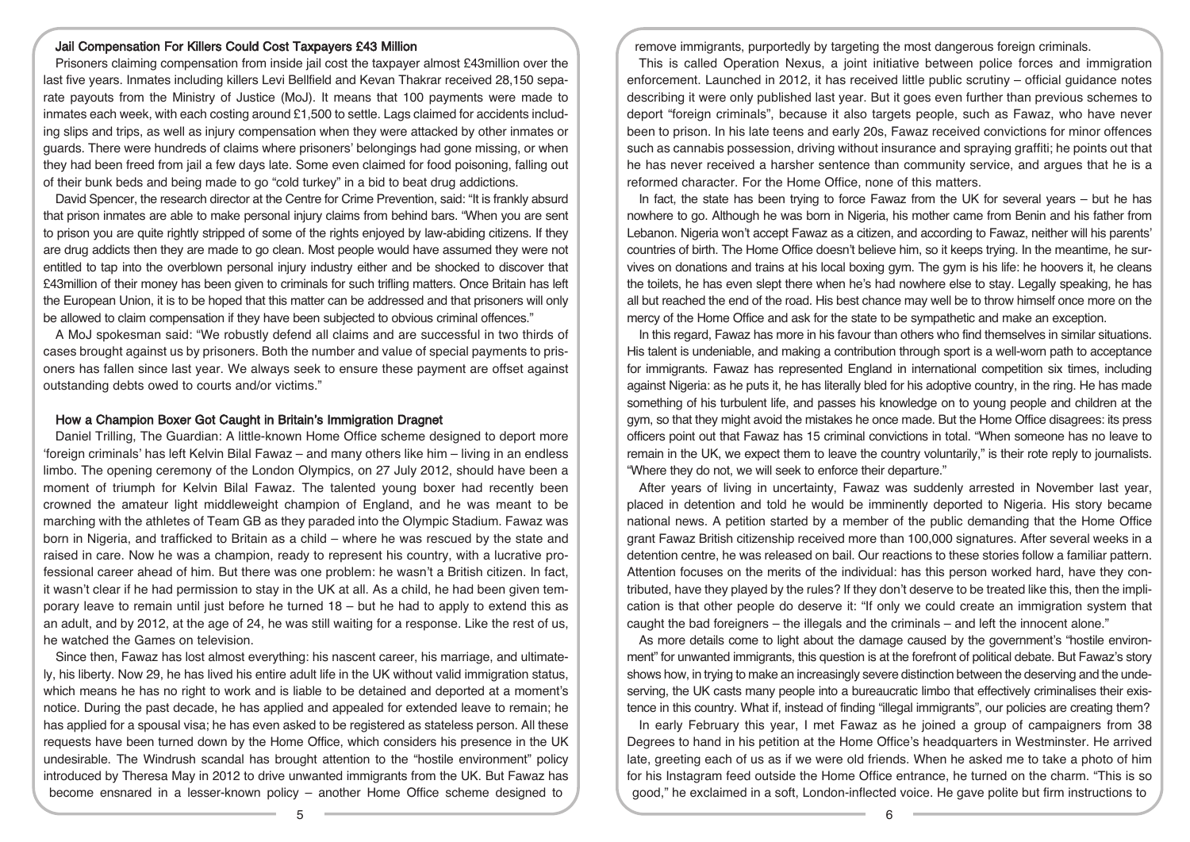### Jail Compensation For Killers Could Cost Taxpayers £43 Million

Prisoners claiming compensation from inside jail cost the taxpayer almost £43million over the last five years. Inmates including killers Levi Bellfield and Kevan Thakrar received 28,150 separate payouts from the Ministry of Justice (MoJ). It means that 100 payments were made to inmates each week, with each costing around £1,500 to settle. Lags claimed for accidents including slips and trips, as well as injury compensation when they were attacked by other inmates or guards. There were hundreds of claims where prisoners' belongings had gone missing, or when they had been freed from jail a few days late. Some even claimed for food poisoning, falling out of their bunk beds and being made to go "cold turkey" in a bid to beat drug addictions.

David Spencer, the research director at the Centre for Crime Prevention, said: "It is frankly absurd that prison inmates are able to make personal injury claims from behind bars. "When you are sent to prison you are quite rightly stripped of some of the rights enjoyed by law-abiding citizens. If they are drug addicts then they are made to go clean. Most people would have assumed they were not entitled to tap into the overblown personal injury industry either and be shocked to discover that £43million of their money has been given to criminals for such trifling matters. Once Britain has left the European Union, it is to be hoped that this matter can be addressed and that prisoners will only be allowed to claim compensation if they have been subjected to obvious criminal offences."

A MoJ spokesman said: "We robustly defend all claims and are successful in two thirds of cases brought against us by prisoners. Both the number and value of special payments to prisoners has fallen since last year. We always seek to ensure these payment are offset against outstanding debts owed to courts and/or victims."

#### How a Champion Boxer Got Caught in Britain's Immigration Dragnet

Daniel Trilling, The Guardian: A little-known Home Office scheme designed to deport more 'foreign criminals' has left Kelvin Bilal Fawaz – and many others like him – living in an endless limbo. The opening ceremony of the London Olympics, on 27 July 2012, should have been a moment of triumph for Kelvin Bilal Fawaz. The talented young boxer had recently been crowned the amateur light middleweight champion of England, and he was meant to be marching with the athletes of Team GB as they paraded into the Olympic Stadium. Fawaz was born in Nigeria, and trafficked to Britain as a child – where he was rescued by the state and raised in care. Now he was a champion, ready to represent his country, with a lucrative professional career ahead of him. But there was one problem: he wasn't a British citizen. In fact, it wasn't clear if he had permission to stay in the UK at all. As a child, he had been given temporary leave to remain until just before he turned 18 – but he had to apply to extend this as an adult, and by 2012, at the age of 24, he was still waiting for a response. Like the rest of us, he watched the Games on television.

Since then, Fawaz has lost almost everything: his nascent career, his marriage, and ultimately, his liberty. Now 29, he has lived his entire adult life in the UK without valid immigration status, which means he has no right to work and is liable to be detained and deported at a moment's notice. During the past decade, he has applied and appealed for extended leave to remain; he has applied for a spousal visa; he has even asked to be registered as stateless person. All these requests have been turned down by the Home Office, which considers his presence in the UK undesirable. The Windrush scandal has brought attention to the "hostile environment" policy introduced by Theresa May in 2012 to drive unwanted immigrants from the UK. But Fawaz has become ensnared in a lesser-known policy – another Home Office scheme designed to

remove immigrants, purportedly by targeting the most dangerous foreign criminals.

This is called Operation Nexus, a joint initiative between police forces and immigration enforcement. Launched in 2012, it has received little public scrutiny – official guidance notes describing it were only published last year. But it goes even further than previous schemes to deport "foreign criminals", because it also targets people, such as Fawaz, who have never been to prison. In his late teens and early 20s, Fawaz received convictions for minor offences such as cannabis possession, driving without insurance and spraying graffiti; he points out that he has never received a harsher sentence than community service, and argues that he is a reformed character. For the Home Office, none of this matters.

In fact, the state has been trying to force Fawaz from the UK for several years – but he has nowhere to go. Although he was born in Nigeria, his mother came from Benin and his father from Lebanon. Nigeria won't accept Fawaz as a citizen, and according to Fawaz, neither will his parents' countries of birth. The Home Office doesn't believe him, so it keeps trying. In the meantime, he survives on donations and trains at his local boxing gym. The gym is his life: he hoovers it, he cleans the toilets, he has even slept there when he's had nowhere else to stay. Legally speaking, he has all but reached the end of the road. His best chance may well be to throw himself once more on the mercy of the Home Office and ask for the state to be sympathetic and make an exception.

In this regard, Fawaz has more in his favour than others who find themselves in similar situations. His talent is undeniable, and making a contribution through sport is a well-worn path to acceptance for immigrants. Fawaz has represented England in international competition six times, including against Nigeria: as he puts it, he has literally bled for his adoptive country, in the ring. He has made something of his turbulent life, and passes his knowledge on to young people and children at the gym, so that they might avoid the mistakes he once made. But the Home Office disagrees: its press officers point out that Fawaz has 15 criminal convictions in total. "When someone has no leave to remain in the UK, we expect them to leave the country voluntarily," is their rote reply to journalists. "Where they do not, we will seek to enforce their departure."

After years of living in uncertainty, Fawaz was suddenly arrested in November last year, placed in detention and told he would be imminently deported to Nigeria. His story became national news. A petition started by a member of the public demanding that the Home Office grant Fawaz British citizenship received more than 100,000 signatures. After several weeks in a detention centre, he was released on bail. Our reactions to these stories follow a familiar pattern. Attention focuses on the merits of the individual: has this person worked hard, have they contributed, have they played by the rules? If they don't deserve to be treated like this, then the implication is that other people do deserve it: "If only we could create an immigration system that caught the bad foreigners – the illegals and the criminals – and left the innocent alone."

As more details come to light about the damage caused by the government's "hostile environment" for unwanted immigrants, this question is at the forefront of political debate. But Fawaz's story shows how, in trying to make an increasingly severe distinction between the deserving and the undeserving, the UK casts many people into a bureaucratic limbo that effectively criminalises their existence in this country. What if, instead of finding "illegal immigrants", our policies are creating them?

In early February this year, I met Fawaz as he joined a group of campaigners from 38 Degrees to hand in his petition at the Home Office's headquarters in Westminster. He arrived late, greeting each of us as if we were old friends. When he asked me to take a photo of him for his Instagram feed outside the Home Office entrance, he turned on the charm. "This is so good," he exclaimed in a soft, London-inflected voice. He gave polite but firm instructions to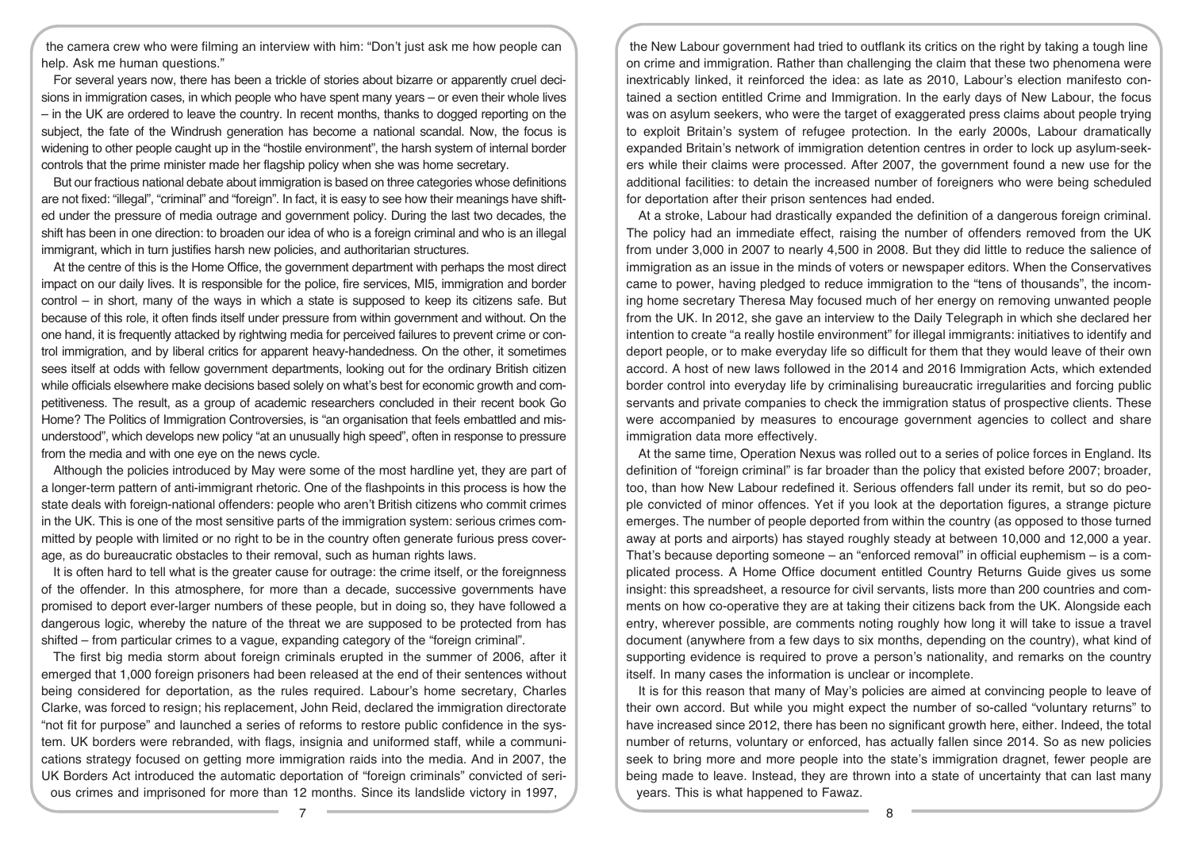the camera crew who were filming an interview with him: "Don't just ask me how people can help. Ask me human questions."

For several years now, there has been a trickle of stories about bizarre or apparently cruel decisions in immigration cases, in which people who have spent many years – or even their whole lives – in the UK are ordered to leave the country. In recent months, thanks to dogged reporting on the subject, the fate of the Windrush generation has become a national scandal. Now, the focus is widening to other people caught up in the "hostile environment", the harsh system of internal border controls that the prime minister made her flagship policy when she was home secretary.

But our fractious national debate about immigration is based on three categories whose definitions are not fixed: "illegal", "criminal" and "foreign". In fact, it is easy to see how their meanings have shifted under the pressure of media outrage and government policy. During the last two decades, the shift has been in one direction: to broaden our idea of who is a foreign criminal and who is an illegal immigrant, which in turn justifies harsh new policies, and authoritarian structures.

At the centre of this is the Home Office, the government department with perhaps the most direct impact on our daily lives. It is responsible for the police, fire services, MI5, immigration and border control – in short, many of the ways in which a state is supposed to keep its citizens safe. But because of this role, it often finds itself under pressure from within government and without. On the one hand, it is frequently attacked by rightwing media for perceived failures to prevent crime or control immigration, and by liberal critics for apparent heavy-handedness. On the other, it sometimes sees itself at odds with fellow government departments, looking out for the ordinary British citizen while officials elsewhere make decisions based solely on what's best for economic growth and competitiveness. The result, as a group of academic researchers concluded in their recent book Go Home? The Politics of Immigration Controversies, is "an organisation that feels embattled and misunderstood", which develops new policy "at an unusually high speed", often in response to pressure from the media and with one eye on the news cycle.

Although the policies introduced by May were some of the most hardline yet, they are part of a longer-term pattern of anti-immigrant rhetoric. One of the flashpoints in this process is how the state deals with foreign-national offenders: people who aren't British citizens who commit crimes in the UK. This is one of the most sensitive parts of the immigration system: serious crimes committed by people with limited or no right to be in the country often generate furious press coverage, as do bureaucratic obstacles to their removal, such as human rights laws.

It is often hard to tell what is the greater cause for outrage: the crime itself, or the foreignness of the offender. In this atmosphere, for more than a decade, successive governments have promised to deport ever-larger numbers of these people, but in doing so, they have followed a dangerous logic, whereby the nature of the threat we are supposed to be protected from has shifted – from particular crimes to a vague, expanding category of the "foreign criminal".

The first big media storm about foreign criminals erupted in the summer of 2006, after it emerged that 1,000 foreign prisoners had been released at the end of their sentences without being considered for deportation, as the rules required. Labour's home secretary, Charles Clarke, was forced to resign; his replacement, John Reid, declared the immigration directorate "not fit for purpose" and launched a series of reforms to restore public confidence in the system. UK borders were rebranded, with flags, insignia and uniformed staff, while a communications strategy focused on getting more immigration raids into the media. And in 2007, the UK Borders Act introduced the automatic deportation of "foreign criminals" convicted of serious crimes and imprisoned for more than 12 months. Since its landslide victory in 1997,

the New Labour government had tried to outflank its critics on the right by taking a tough line on crime and immigration. Rather than challenging the claim that these two phenomena were inextricably linked, it reinforced the idea: as late as 2010, Labour's election manifesto contained a section entitled Crime and Immigration. In the early days of New Labour, the focus was on asylum seekers, who were the target of exaggerated press claims about people trying to exploit Britain's system of refugee protection. In the early 2000s, Labour dramatically expanded Britain's network of immigration detention centres in order to lock up asylum-seekers while their claims were processed. After 2007, the government found a new use for the additional facilities: to detain the increased number of foreigners who were being scheduled for deportation after their prison sentences had ended.

At a stroke, Labour had drastically expanded the definition of a dangerous foreign criminal. The policy had an immediate effect, raising the number of offenders removed from the UK from under 3,000 in 2007 to nearly 4,500 in 2008. But they did little to reduce the salience of immigration as an issue in the minds of voters or newspaper editors. When the Conservatives came to power, having pledged to reduce immigration to the "tens of thousands", the incoming home secretary Theresa May focused much of her energy on removing unwanted people from the UK. In 2012, she gave an interview to the Daily Telegraph in which she declared her intention to create "a really hostile environment" for illegal immigrants: initiatives to identify and deport people, or to make everyday life so difficult for them that they would leave of their own accord. A host of new laws followed in the 2014 and 2016 Immigration Acts, which extended border control into everyday life by criminalising bureaucratic irregularities and forcing public servants and private companies to check the immigration status of prospective clients. These were accompanied by measures to encourage government agencies to collect and share immigration data more effectively.

At the same time, Operation Nexus was rolled out to a series of police forces in England. Its definition of "foreign criminal" is far broader than the policy that existed before 2007; broader, too, than how New Labour redefined it. Serious offenders fall under its remit, but so do people convicted of minor offences. Yet if you look at the deportation figures, a strange picture emerges. The number of people deported from within the country (as opposed to those turned away at ports and airports) has stayed roughly steady at between 10,000 and 12,000 a year. That's because deporting someone – an "enforced removal" in official euphemism – is a complicated process. A Home Office document entitled Country Returns Guide gives us some insight: this spreadsheet, a resource for civil servants, lists more than 200 countries and comments on how co-operative they are at taking their citizens back from the UK. Alongside each entry, wherever possible, are comments noting roughly how long it will take to issue a travel document (anywhere from a few days to six months, depending on the country), what kind of supporting evidence is required to prove a person's nationality, and remarks on the country itself. In many cases the information is unclear or incomplete.

It is for this reason that many of May's policies are aimed at convincing people to leave of their own accord. But while you might expect the number of so-called "voluntary returns" to have increased since 2012, there has been no significant growth here, either. Indeed, the total number of returns, voluntary or enforced, has actually fallen since 2014. So as new policies seek to bring more and more people into the state's immigration dragnet, fewer people are being made to leave. Instead, they are thrown into a state of uncertainty that can last many years. This is what happened to Fawaz.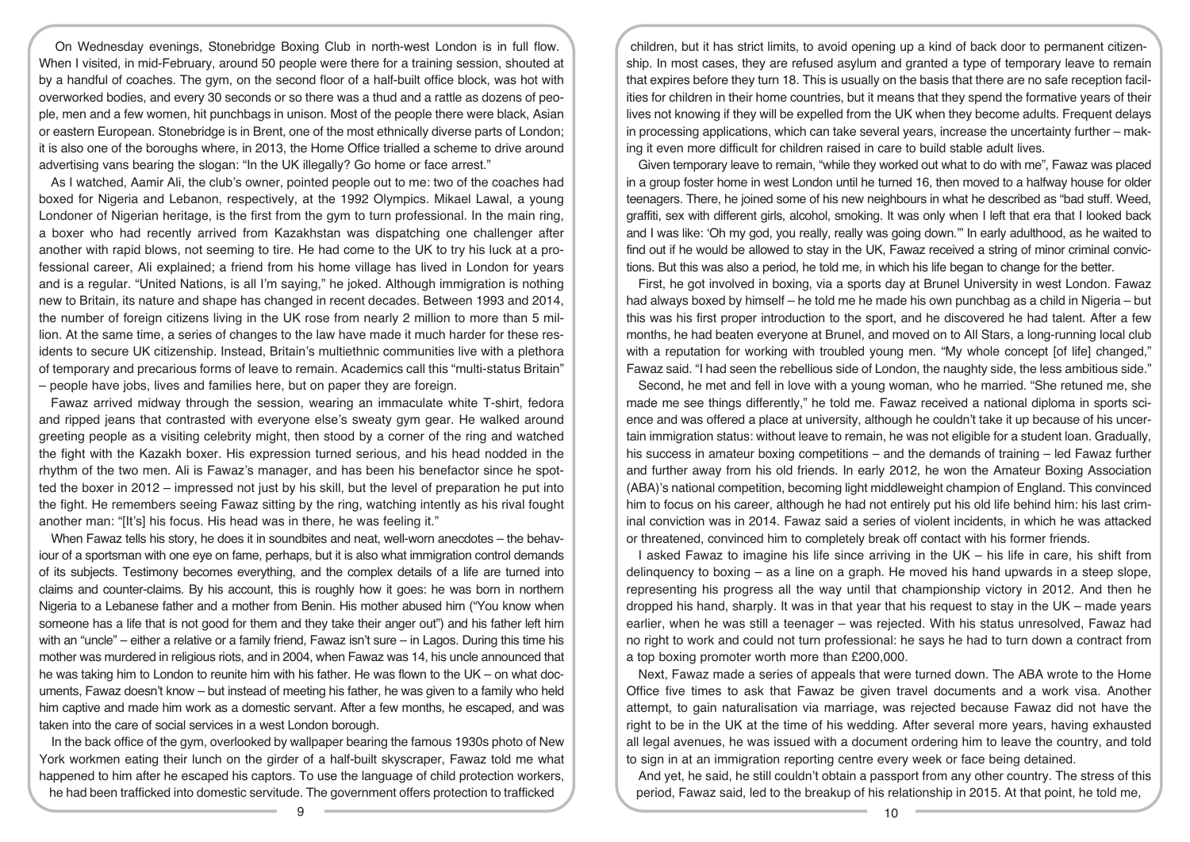On Wednesday evenings, Stonebridge Boxing Club in north-west London is in full flow. When I visited, in mid-February, around 50 people were there for a training session, shouted at by a handful of coaches. The gym, on the second floor of a half-built office block, was hot with overworked bodies, and every 30 seconds or so there was a thud and a rattle as dozens of people, men and a few women, hit punchbags in unison. Most of the people there were black, Asian or eastern European. Stonebridge is in Brent, one of the most ethnically diverse parts of London; it is also one of the boroughs where, in 2013, the Home Office trialled a scheme to drive around advertising vans bearing the slogan: "In the UK illegally? Go home or face arrest."

As I watched, Aamir Ali, the club's owner, pointed people out to me: two of the coaches had boxed for Nigeria and Lebanon, respectively, at the 1992 Olympics. Mikael Lawal, a young Londoner of Nigerian heritage, is the first from the gym to turn professional. In the main ring, a boxer who had recently arrived from Kazakhstan was dispatching one challenger after another with rapid blows, not seeming to tire. He had come to the UK to try his luck at a professional career, Ali explained; a friend from his home village has lived in London for years and is a regular. "United Nations, is all I'm saying," he joked. Although immigration is nothing new to Britain, its nature and shape has changed in recent decades. Between 1993 and 2014, the number of foreign citizens living in the UK rose from nearly 2 million to more than 5 million. At the same time, a series of changes to the law have made it much harder for these residents to secure UK citizenship. Instead, Britain's multiethnic communities live with a plethora of temporary and precarious forms of leave to remain. Academics call this "multi-status Britain" – people have jobs, lives and families here, but on paper they are foreign.

Fawaz arrived midway through the session, wearing an immaculate white T-shirt, fedora and ripped jeans that contrasted with everyone else's sweaty gym gear. He walked around greeting people as a visiting celebrity might, then stood by a corner of the ring and watched the fight with the Kazakh boxer. His expression turned serious, and his head nodded in the rhythm of the two men. Ali is Fawaz's manager, and has been his benefactor since he spotted the boxer in 2012 – impressed not just by his skill, but the level of preparation he put into the fight. He remembers seeing Fawaz sitting by the ring, watching intently as his rival fought another man: "[It's] his focus. His head was in there, he was feeling it."

When Fawaz tells his story, he does it in soundbites and neat, well-worn anecdotes – the behaviour of a sportsman with one eye on fame, perhaps, but it is also what immigration control demands of its subjects. Testimony becomes everything, and the complex details of a life are turned into claims and counter-claims. By his account, this is roughly how it goes: he was born in northern Nigeria to a Lebanese father and a mother from Benin. His mother abused him ("You know when someone has a life that is not good for them and they take their anger out") and his father left him with an "uncle" – either a relative or a family friend, Fawaz isn't sure – in Lagos. During this time his mother was murdered in religious riots, and in 2004, when Fawaz was 14, his uncle announced that he was taking him to London to reunite him with his father. He was flown to the UK – on what documents, Fawaz doesn't know – but instead of meeting his father, he was given to a family who held him captive and made him work as a domestic servant. After a few months, he escaped, and was taken into the care of social services in a west London borough.

In the back office of the gym, overlooked by wallpaper bearing the famous 1930s photo of New York workmen eating their lunch on the girder of a half-built skyscraper, Fawaz told me what happened to him after he escaped his captors. To use the language of child protection workers, he had been trafficked into domestic servitude. The government offers protection to trafficked

children, but it has strict limits, to avoid opening up a kind of back door to permanent citizenship. In most cases, they are refused asylum and granted a type of temporary leave to remain that expires before they turn 18. This is usually on the basis that there are no safe reception facilities for children in their home countries, but it means that they spend the formative years of their lives not knowing if they will be expelled from the UK when they become adults. Frequent delays in processing applications, which can take several years, increase the uncertainty further – making it even more difficult for children raised in care to build stable adult lives.

Given temporary leave to remain, "while they worked out what to do with me", Fawaz was placed in a group foster home in west London until he turned 16, then moved to a halfway house for older teenagers. There, he joined some of his new neighbours in what he described as "bad stuff. Weed, graffiti, sex with different girls, alcohol, smoking. It was only when I left that era that I looked back and I was like: 'Oh my god, you really, really was going down.'" In early adulthood, as he waited to find out if he would be allowed to stay in the UK, Fawaz received a string of minor criminal convictions. But this was also a period, he told me, in which his life began to change for the better.

First, he got involved in boxing, via a sports day at Brunel University in west London. Fawaz had always boxed by himself – he told me he made his own punchbag as a child in Nigeria – but this was his first proper introduction to the sport, and he discovered he had talent. After a few months, he had beaten everyone at Brunel, and moved on to All Stars, a long-running local club with a reputation for working with troubled young men. "My whole concept [of life] changed," Fawaz said. "I had seen the rebellious side of London, the naughty side, the less ambitious side."

Second, he met and fell in love with a young woman, who he married. "She retuned me, she made me see things differently," he told me. Fawaz received a national diploma in sports science and was offered a place at university, although he couldn't take it up because of his uncertain immigration status: without leave to remain, he was not eligible for a student loan. Gradually, his success in amateur boxing competitions – and the demands of training – led Fawaz further and further away from his old friends. In early 2012, he won the Amateur Boxing Association (ABA)'s national competition, becoming light middleweight champion of England. This convinced him to focus on his career, although he had not entirely put his old life behind him: his last criminal conviction was in 2014. Fawaz said a series of violent incidents, in which he was attacked or threatened, convinced him to completely break off contact with his former friends.

I asked Fawaz to imagine his life since arriving in the UK – his life in care, his shift from delinquency to boxing – as a line on a graph. He moved his hand upwards in a steep slope, representing his progress all the way until that championship victory in 2012. And then he dropped his hand, sharply. It was in that year that his request to stay in the UK – made years earlier, when he was still a teenager – was rejected. With his status unresolved, Fawaz had no right to work and could not turn professional: he says he had to turn down a contract from a top boxing promoter worth more than £200,000.

Next, Fawaz made a series of appeals that were turned down. The ABA wrote to the Home Office five times to ask that Fawaz be given travel documents and a work visa. Another attempt, to gain naturalisation via marriage, was rejected because Fawaz did not have the right to be in the UK at the time of his wedding. After several more years, having exhausted all legal avenues, he was issued with a document ordering him to leave the country, and told to sign in at an immigration reporting centre every week or face being detained.

And yet, he said, he still couldn't obtain a passport from any other country. The stress of this period, Fawaz said, led to the breakup of his relationship in 2015. At that point, he told me,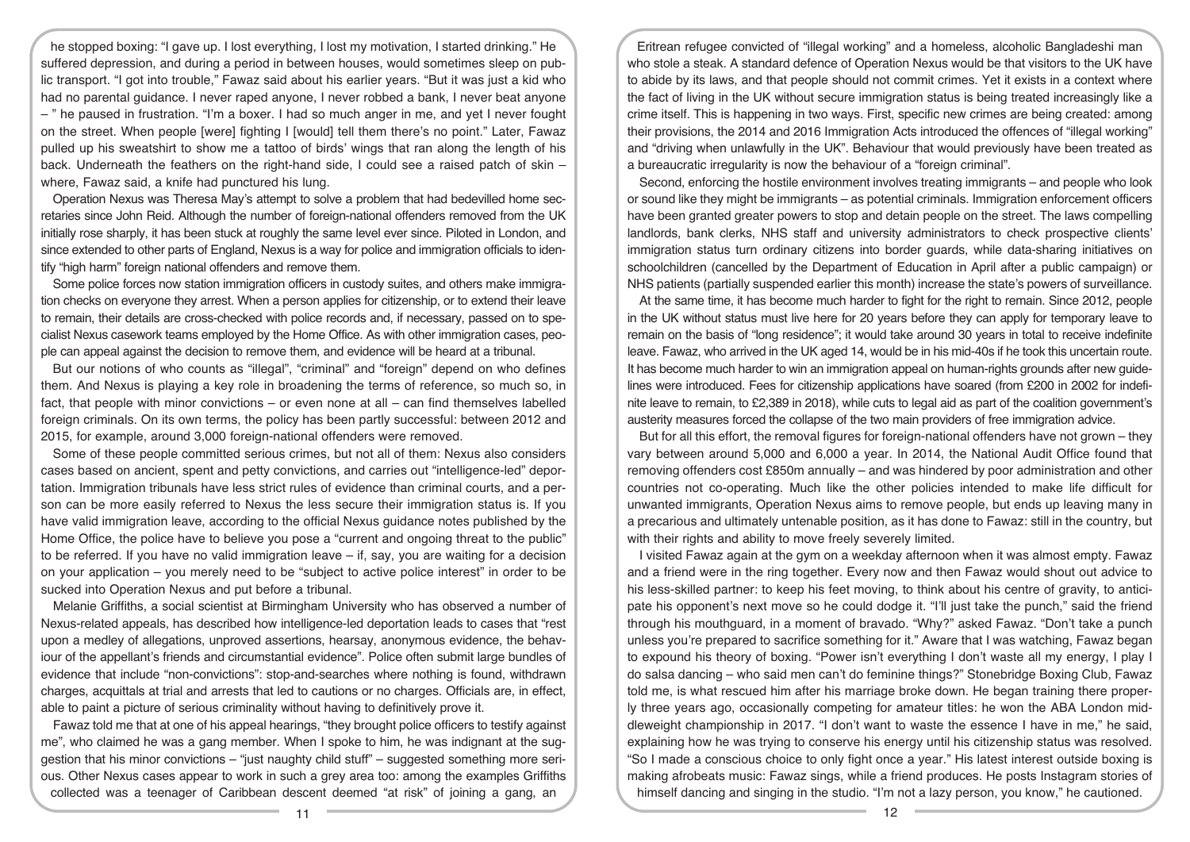he stopped boxing: "I gave up. I lost everything, I lost my motivation, I started drinking." He suffered depression, and during a period in between houses, would sometimes sleep on public transport. "I got into trouble," Fawaz said about his earlier years. "But it was just a kid who had no parental guidance. I never raped anyone, I never robbed a bank, I never beat anyone – " he paused in frustration. "I'm a boxer. I had so much anger in me, and yet I never fought on the street. When people [were] fighting I [would] tell them there's no point." Later, Fawaz pulled up his sweatshirt to show me a tattoo of birds' wings that ran along the length of his back. Underneath the feathers on the right-hand side, I could see a raised patch of skin – where, Fawaz said, a knife had punctured his lung.

Operation Nexus was Theresa May's attempt to solve a problem that had bedevilled home secretaries since John Reid. Although the number of foreign-national offenders removed from the UK initially rose sharply, it has been stuck at roughly the same level ever since. Piloted in London, and since extended to other parts of England, Nexus is a way for police and immigration officials to identify "high harm" foreign national offenders and remove them.

Some police forces now station immigration officers in custody suites, and others make immigration checks on everyone they arrest. When a person applies for citizenship, or to extend their leave to remain, their details are cross-checked with police records and, if necessary, passed on to specialist Nexus casework teams employed by the Home Office. As with other immigration cases, people can appeal against the decision to remove them, and evidence will be heard at a tribunal.

But our notions of who counts as "illegal", "criminal" and "foreign" depend on who defines them. And Nexus is playing a key role in broadening the terms of reference, so much so, in fact, that people with minor convictions – or even none at all – can find themselves labelled foreign criminals. On its own terms, the policy has been partly successful: between 2012 and 2015, for example, around 3,000 foreign-national offenders were removed.

Some of these people committed serious crimes, but not all of them: Nexus also considers cases based on ancient, spent and petty convictions, and carries out "intelligence-led" deportation. Immigration tribunals have less strict rules of evidence than criminal courts, and a person can be more easily referred to Nexus the less secure their immigration status is. If you have valid immigration leave, according to the official Nexus guidance notes published by the Home Office, the police have to believe you pose a "current and ongoing threat to the public" to be referred. If you have no valid immigration leave  $-$  if, say, you are waiting for a decision on your application – you merely need to be "subject to active police interest" in order to be sucked into Operation Nexus and put before a tribunal.

Melanie Griffiths, a social scientist at Birmingham University who has observed a number of Nexus-related appeals, has described how intelligence-led deportation leads to cases that "rest upon a medley of allegations, unproved assertions, hearsay, anonymous evidence, the behaviour of the appellant's friends and circumstantial evidence". Police often submit large bundles of evidence that include "non-convictions": stop-and-searches where nothing is found, withdrawn charges, acquittals at trial and arrests that led to cautions or no charges. Officials are, in effect, able to paint a picture of serious criminality without having to definitively prove it.

Fawaz told me that at one of his appeal hearings, "they brought police officers to testify against me", who claimed he was a gang member. When I spoke to him, he was indignant at the suggestion that his minor convictions – "just naughty child stuff" – suggested something more serious. Other Nexus cases appear to work in such a grey area too: among the examples Griffiths collected was a teenager of Caribbean descent deemed "at risk" of joining a gang, an

Eritrean refugee convicted of "illegal working" and a homeless, alcoholic Bangladeshi man who stole a steak. A standard defence of Operation Nexus would be that visitors to the UK have to abide by its laws, and that people should not commit crimes. Yet it exists in a context where the fact of living in the UK without secure immigration status is being treated increasingly like a crime itself. This is happening in two ways. First, specific new crimes are being created: among their provisions, the 2014 and 2016 Immigration Acts introduced the offences of "illegal working" and "driving when unlawfully in the UK". Behaviour that would previously have been treated as a bureaucratic irregularity is now the behaviour of a "foreign criminal".

Second, enforcing the hostile environment involves treating immigrants – and people who look or sound like they might be immigrants – as potential criminals. Immigration enforcement officers have been granted greater powers to stop and detain people on the street. The laws compelling landlords, bank clerks, NHS staff and university administrators to check prospective clients' immigration status turn ordinary citizens into border guards, while data-sharing initiatives on schoolchildren (cancelled by the Department of Education in April after a public campaign) or NHS patients (partially suspended earlier this month) increase the state's powers of surveillance.

At the same time, it has become much harder to fight for the right to remain. Since 2012, people in the UK without status must live here for 20 years before they can apply for temporary leave to remain on the basis of "long residence"; it would take around 30 years in total to receive indefinite leave. Fawaz, who arrived in the UK aged 14, would be in his mid-40s if he took this uncertain route. It has become much harder to win an immigration appeal on human-rights grounds after new guidelines were introduced. Fees for citizenship applications have soared (from £200 in 2002 for indefinite leave to remain, to £2,389 in 2018), while cuts to legal aid as part of the coalition government's austerity measures forced the collapse of the two main providers of free immigration advice.

But for all this effort, the removal figures for foreign-national offenders have not grown – they vary between around 5,000 and 6,000 a year. In 2014, the National Audit Office found that removing offenders cost £850m annually – and was hindered by poor administration and other countries not co-operating. Much like the other policies intended to make life difficult for unwanted immigrants, Operation Nexus aims to remove people, but ends up leaving many in a precarious and ultimately untenable position, as it has done to Fawaz: still in the country, but with their rights and ability to move freely severely limited.

I visited Fawaz again at the gym on a weekday afternoon when it was almost empty. Fawaz and a friend were in the ring together. Every now and then Fawaz would shout out advice to his less-skilled partner: to keep his feet moving, to think about his centre of gravity, to anticipate his opponent's next move so he could dodge it. "I'll just take the punch," said the friend through his mouthguard, in a moment of bravado. "Why?" asked Fawaz. "Don't take a punch unless you're prepared to sacrifice something for it." Aware that I was watching, Fawaz began to expound his theory of boxing. "Power isn't everything I don't waste all my energy, I play I do salsa dancing – who said men can't do feminine things?" Stonebridge Boxing Club, Fawaz told me, is what rescued him after his marriage broke down. He began training there properly three years ago, occasionally competing for amateur titles: he won the ABA London middleweight championship in 2017. "I don't want to waste the essence I have in me," he said, explaining how he was trying to conserve his energy until his citizenship status was resolved. "So I made a conscious choice to only fight once a year." His latest interest outside boxing is making afrobeats music: Fawaz sings, while a friend produces. He posts Instagram stories of himself dancing and singing in the studio. "I'm not a lazy person, you know," he cautioned.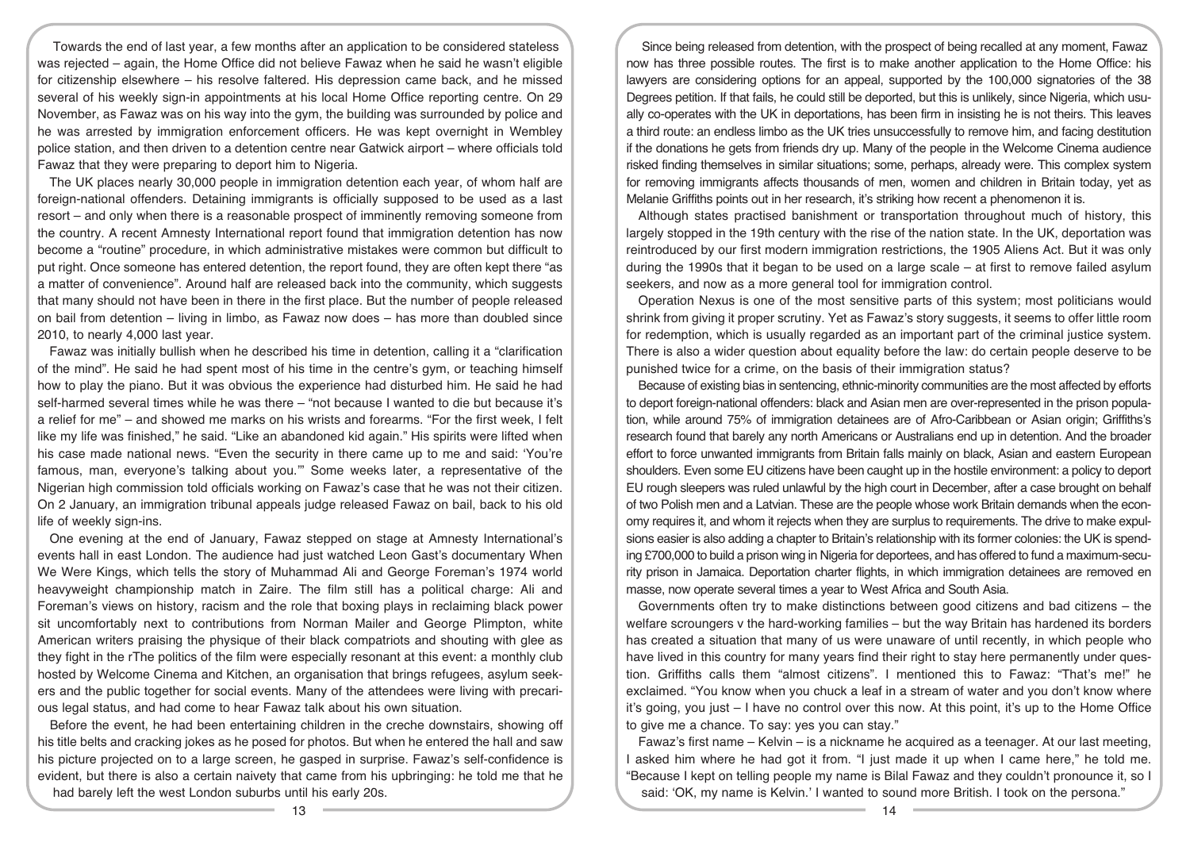Towards the end of last year, a few months after an application to be considered stateless was rejected – again, the Home Office did not believe Fawaz when he said he wasn't eligible for citizenship elsewhere – his resolve faltered. His depression came back, and he missed several of his weekly sign-in appointments at his local Home Office reporting centre. On 29 November, as Fawaz was on his way into the gym, the building was surrounded by police and he was arrested by immigration enforcement officers. He was kept overnight in Wembley police station, and then driven to a detention centre near Gatwick airport – where officials told Fawaz that they were preparing to deport him to Nigeria.

The UK places nearly 30,000 people in immigration detention each year, of whom half are foreign-national offenders. Detaining immigrants is officially supposed to be used as a last resort – and only when there is a reasonable prospect of imminently removing someone from the country. A recent Amnesty International report found that immigration detention has now become a "routine" procedure, in which administrative mistakes were common but difficult to put right. Once someone has entered detention, the report found, they are often kept there "as a matter of convenience". Around half are released back into the community, which suggests that many should not have been in there in the first place. But the number of people released on bail from detention – living in limbo, as Fawaz now does – has more than doubled since 2010, to nearly 4,000 last year.

Fawaz was initially bullish when he described his time in detention, calling it a "clarification of the mind". He said he had spent most of his time in the centre's gym, or teaching himself how to play the piano. But it was obvious the experience had disturbed him. He said he had self-harmed several times while he was there – "not because I wanted to die but because it's a relief for me" – and showed me marks on his wrists and forearms. "For the first week, I felt like my life was finished," he said. "Like an abandoned kid again." His spirits were lifted when his case made national news. "Even the security in there came up to me and said: 'You're famous, man, everyone's talking about you.'" Some weeks later, a representative of the Nigerian high commission told officials working on Fawaz's case that he was not their citizen. On 2 January, an immigration tribunal appeals judge released Fawaz on bail, back to his old life of weekly sign-ins.

One evening at the end of January, Fawaz stepped on stage at Amnesty International's events hall in east London. The audience had just watched Leon Gast's documentary When We Were Kings, which tells the story of Muhammad Ali and George Foreman's 1974 world heavyweight championship match in Zaire. The film still has a political charge: Ali and Foreman's views on history, racism and the role that boxing plays in reclaiming black power sit uncomfortably next to contributions from Norman Mailer and George Plimpton, white American writers praising the physique of their black compatriots and shouting with glee as they fight in the rThe politics of the film were especially resonant at this event: a monthly club hosted by Welcome Cinema and Kitchen, an organisation that brings refugees, asylum seekers and the public together for social events. Many of the attendees were living with precarious legal status, and had come to hear Fawaz talk about his own situation.

Before the event, he had been entertaining children in the creche downstairs, showing off his title belts and cracking jokes as he posed for photos. But when he entered the hall and saw his picture projected on to a large screen, he gasped in surprise. Fawaz's self-confidence is evident, but there is also a certain naivety that came from his upbringing: he told me that he had barely left the west London suburbs until his early 20s.

Since being released from detention, with the prospect of being recalled at any moment, Fawaz now has three possible routes. The first is to make another application to the Home Office: his lawyers are considering options for an appeal, supported by the 100,000 signatories of the 38 Degrees petition. If that fails, he could still be deported, but this is unlikely, since Nigeria, which usually co-operates with the UK in deportations, has been firm in insisting he is not theirs. This leaves a third route: an endless limbo as the UK tries unsuccessfully to remove him, and facing destitution if the donations he gets from friends dry up. Many of the people in the Welcome Cinema audience risked finding themselves in similar situations; some, perhaps, already were. This complex system for removing immigrants affects thousands of men, women and children in Britain today, yet as Melanie Griffiths points out in her research, it's striking how recent a phenomenon it is.

Although states practised banishment or transportation throughout much of history, this largely stopped in the 19th century with the rise of the nation state. In the UK, deportation was reintroduced by our first modern immigration restrictions, the 1905 Aliens Act. But it was only during the 1990s that it began to be used on a large scale – at first to remove failed asylum seekers, and now as a more general tool for immigration control.

Operation Nexus is one of the most sensitive parts of this system; most politicians would shrink from giving it proper scrutiny. Yet as Fawaz's story suggests, it seems to offer little room for redemption, which is usually regarded as an important part of the criminal justice system. There is also a wider question about equality before the law: do certain people deserve to be punished twice for a crime, on the basis of their immigration status?

Because of existing bias in sentencing, ethnic-minority communities are the most affected by efforts to deport foreign-national offenders: black and Asian men are over-represented in the prison population, while around 75% of immigration detainees are of Afro-Caribbean or Asian origin; Griffiths's research found that barely any north Americans or Australians end up in detention. And the broader effort to force unwanted immigrants from Britain falls mainly on black, Asian and eastern European shoulders. Even some EU citizens have been caught up in the hostile environment: a policy to deport EU rough sleepers was ruled unlawful by the high court in December, after a case brought on behalf of two Polish men and a Latvian. These are the people whose work Britain demands when the economy requires it, and whom it rejects when they are surplus to requirements. The drive to make expulsions easier is also adding a chapter to Britain's relationship with its former colonies: the UK is spending £700,000 to build a prison wing in Nigeria for deportees, and has offered to fund a maximum-security prison in Jamaica. Deportation charter flights, in which immigration detainees are removed en masse, now operate several times a year to West Africa and South Asia.

Governments often try to make distinctions between good citizens and bad citizens – the welfare scroungers v the hard-working families – but the way Britain has hardened its borders has created a situation that many of us were unaware of until recently, in which people who have lived in this country for many years find their right to stay here permanently under question. Griffiths calls them "almost citizens". I mentioned this to Fawaz: "That's me!" he exclaimed. "You know when you chuck a leaf in a stream of water and you don't know where it's going, you just – I have no control over this now. At this point, it's up to the Home Office to give me a chance. To say: yes you can stay."

Fawaz's first name – Kelvin – is a nickname he acquired as a teenager. At our last meeting, I asked him where he had got it from. "I just made it up when I came here," he told me. "Because I kept on telling people my name is Bilal Fawaz and they couldn't pronounce it, so I said: 'OK, my name is Kelvin.' I wanted to sound more British. I took on the persona."